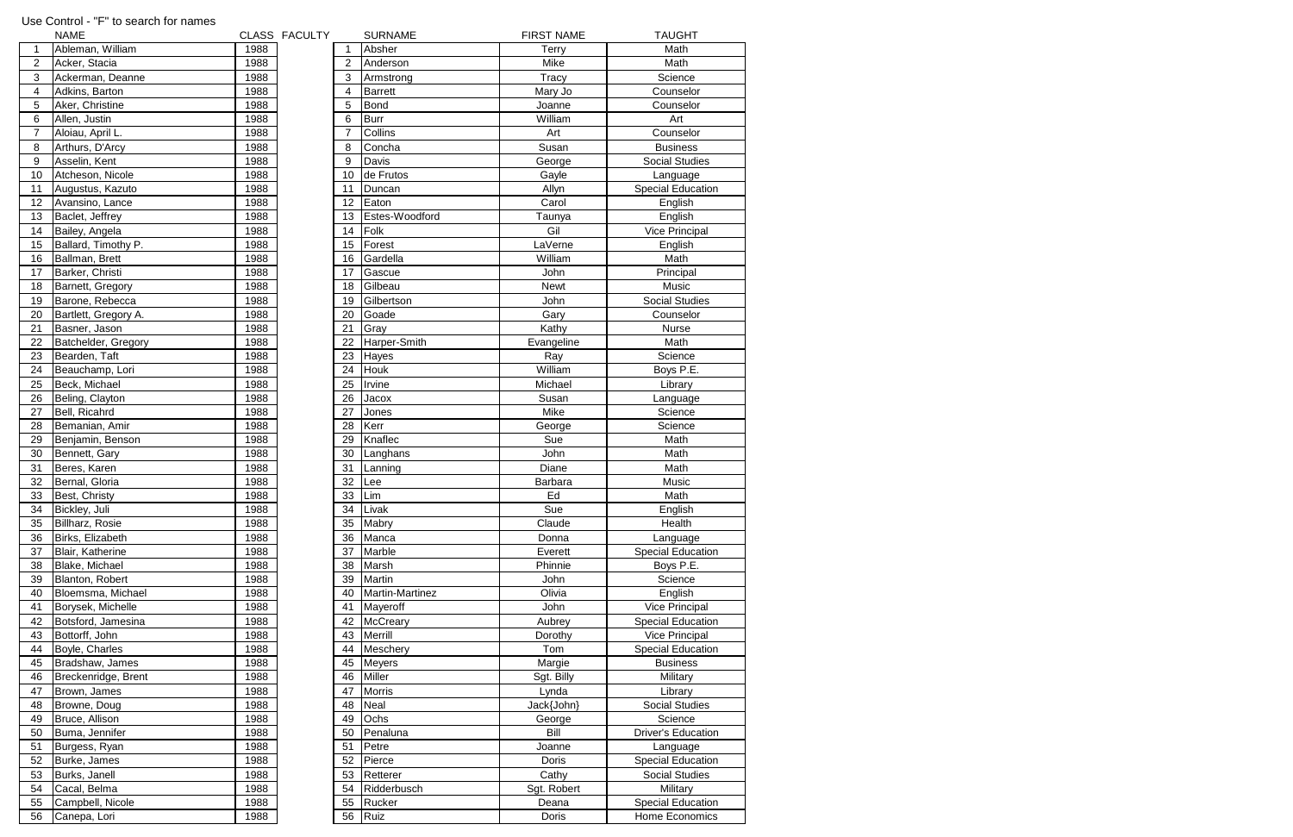|                | Use Control - "F" to search for names |      |               |                |                 |                   |                           |
|----------------|---------------------------------------|------|---------------|----------------|-----------------|-------------------|---------------------------|
|                | <b>NAME</b>                           |      | CLASS FACULTY |                | <b>SURNAME</b>  | <b>FIRST NAME</b> | <b>TAUGHT</b>             |
| 1              | Ableman, William                      | 1988 |               |                | Absher          | <b>Terry</b>      | Math                      |
| $\overline{c}$ | Acker, Stacia                         | 1988 |               | 2              | Anderson        | Mike              | Math                      |
| 3              | Ackerman, Deanne                      | 1988 |               | 3              | Armstrong       | <b>Tracy</b>      | Science                   |
| 4              | Adkins, Barton                        | 1988 |               | 4              | <b>Barrett</b>  | Mary Jo           | Counselor                 |
| 5              | Aker, Christine                       | 1988 |               | 5              | <b>Bond</b>     | Joanne            | Counselor                 |
| 6              | Allen, Justin                         | 1988 |               | 6              | <b>Burr</b>     | William           | Art                       |
| $\overline{7}$ | Aloiau, April L.                      | 1988 |               | $\overline{7}$ | Collins         | Art               | Counselor                 |
| 8              | Arthurs, D'Arcy                       | 1988 |               | 8              | Concha          | Susan             | <b>Business</b>           |
| 9              | Asselin, Kent                         | 1988 |               | 9              | Davis           | George            | Social Studies            |
| 10             | Atcheson, Nicole                      | 1988 |               | 10             | de Frutos       | Gayle             | Language                  |
| 11             | Augustus, Kazuto                      | 1988 |               | 11             | Duncan          | Allyn             | <b>Special Education</b>  |
| 12             | Avansino, Lance                       | 1988 |               | 12             | Eaton           | Carol             | English                   |
| 13             | Baclet, Jeffrey                       | 1988 |               | 13             | Estes-Woodford  | Taunya            | English                   |
| 14             | Bailey, Angela                        | 1988 |               | 14             | Folk            | Gil               | Vice Principal            |
| 15             | Ballard, Timothy P.                   | 1988 |               | 15             | Forest          | LaVerne           | English                   |
| 16             | Ballman, Brett                        | 1988 |               | 16             | Gardella        | William           | Math                      |
| 17             | Barker, Christi                       | 1988 |               | 17             | Gascue          | John              | Principal                 |
| 18             | Barnett, Gregory                      | 1988 |               | 18             | Gilbeau         | <b>Newt</b>       | Music                     |
| 19             | Barone, Rebecca                       | 1988 |               | 19             | Gilbertson      | John              | <b>Social Studies</b>     |
| 20             | Bartlett, Gregory A.                  | 1988 |               | 20             | Goade           | Gary              | Counselor                 |
| 21             | Basner, Jason                         | 1988 |               | 21             | Gray            | Kathy             | <b>Nurse</b>              |
| 22             | Batchelder, Gregory                   | 1988 |               | 22             | Harper-Smith    | Evangeline        | Math                      |
| 23             | Bearden, Taft                         | 1988 |               | 23             | Hayes           | Ray               | Science                   |
| 24             | Beauchamp, Lori                       | 1988 |               | 24             | <b>Houk</b>     | William           | Boys P.E.                 |
| 25             | Beck, Michael                         | 1988 |               | 25             | Irvine          | Michael           | Library                   |
| 26             | Beling, Clayton                       | 1988 |               | 26             | Jacox           | Susan             | Language                  |
| 27             | Bell, Ricahrd                         | 1988 |               | 27             | Jones           | Mike              | Science                   |
| 28             | Bemanian, Amir                        | 1988 |               | 28             | Kerr            | George            | Science                   |
| 29             | Benjamin, Benson                      | 1988 |               | 29             | Knaflec         | Sue               | Math                      |
| 30             | Bennett, Gary                         | 1988 |               | 30             | Langhans        | John              | Math                      |
| 31             | Beres, Karen                          | 1988 |               | 31             | Lanning         | Diane             | Math                      |
| 32             | Bernal, Gloria                        | 1988 |               | 32             | Lee             | Barbara           | Music                     |
| 33             | Best, Christy                         | 1988 |               | 33             | Lim             | Ed                | Math                      |
| 34             | Bickley, Juli                         | 1988 |               | 34             | Livak           | Sue               | English                   |
| 35             | Billharz, Rosie                       | 1988 |               | 35             | Mabry           | Claude            | Health                    |
| 36             | Birks, Elizabeth                      | 1988 |               | 36             | Manca           | Donna             | Language                  |
| 37             | Blair, Katherine                      | 1988 |               | 37             | Marble          | Everett           | <b>Special Education</b>  |
| 38             | Blake, Michael                        | 1988 |               | 38             | Marsh           | Phinnie           | Boys P.E.                 |
| 39             | Blanton, Robert                       | 1988 |               | 39             | Martin          | John              | Science                   |
| 40             | Bloemsma, Michael                     | 1988 |               | 40             | Martin-Martinez | Olivia            | English                   |
| 41             | Borysek, Michelle                     | 1988 |               | 41             | Mayeroff        | John              | Vice Principal            |
| 42             | Botsford, Jamesina                    | 1988 |               | 42             | McCreary        | Aubrey            | <b>Special Education</b>  |
| 43             | Bottorff, John                        | 1988 |               | 43             | Merrill         | Dorothy           | Vice Principal            |
| 44             | Boyle, Charles                        | 1988 |               | 44             | Meschery        | Tom               | <b>Special Education</b>  |
| 45             | Bradshaw, James                       | 1988 |               | 45             | <b>Meyers</b>   | Margie            | <b>Business</b>           |
| 46             | Breckenridge, Brent                   | 1988 |               | 46             | Miller          | Sgt. Billy        | Military                  |
| 47             | Brown, James                          | 1988 |               | 47             | <b>Morris</b>   | Lynda             | Library                   |
| 48             | Browne, Doug                          | 1988 |               | 48             | <b>Neal</b>     | Jack{John}        | <b>Social Studies</b>     |
| 49             | Bruce, Allison                        | 1988 |               | 49             | Ochs            | George            | Science                   |
| 50             | Buma, Jennifer                        | 1988 |               | 50             | Penaluna        | Bill              | <b>Driver's Education</b> |
| 51             | Burgess, Ryan                         | 1988 |               | 51             | Petre           | Joanne            | Language                  |
| 52             | Burke, James                          | 1988 |               | 52             | Pierce          | Doris             | <b>Special Education</b>  |
| 53             | Burks, Janell                         | 1988 |               | 53             | Retterer        | Cathy             | <b>Social Studies</b>     |
| 54             | Cacal, Belma                          | 1988 |               | 54             | Ridderbusch     | Sgt. Robert       | Military                  |
| 55             | Campbell, Nicole                      | 1988 |               | 55             | Rucker          | Deana             | <b>Special Education</b>  |
| 56             | Canepa, Lori                          | 1988 |               | 56             | Ruiz            | Doris             | Home Economics            |
|                |                                       |      |               |                |                 |                   |                           |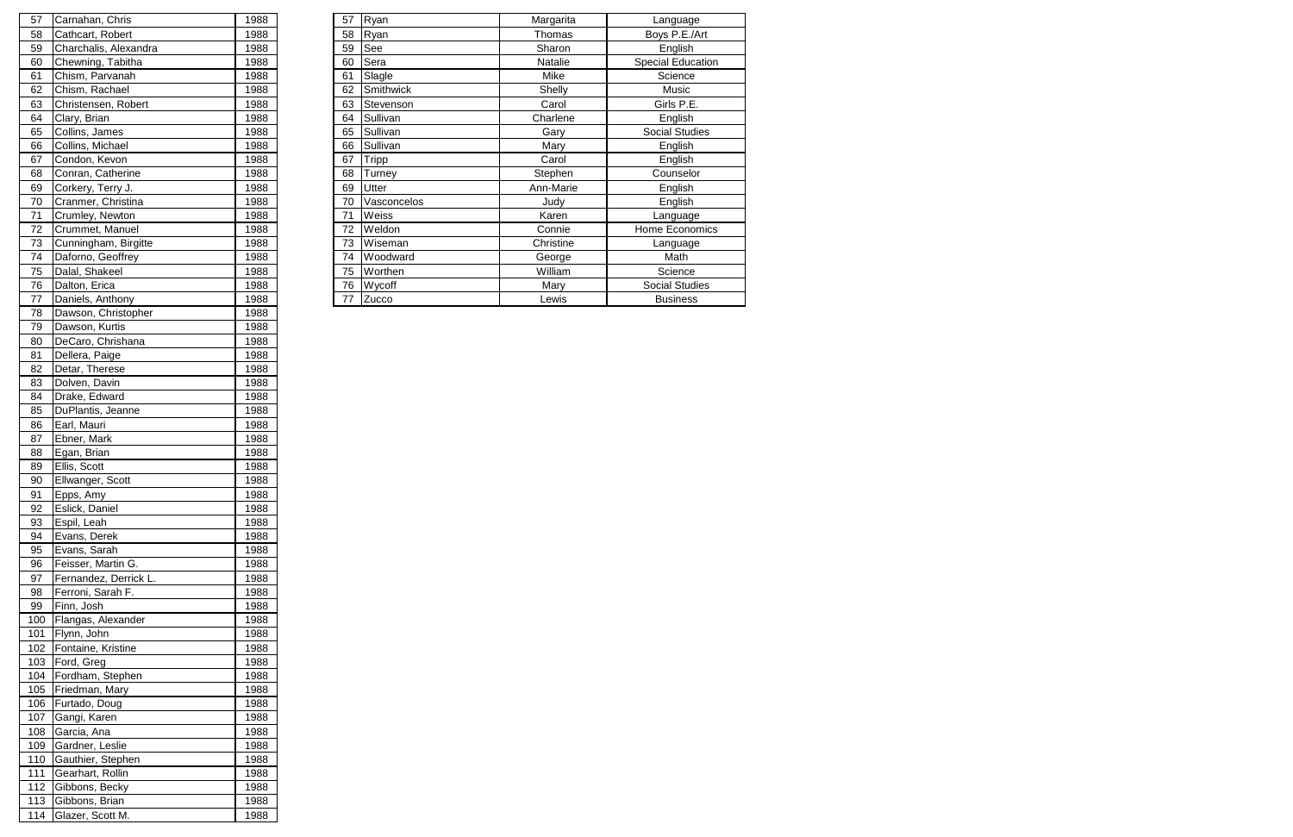| 57 | Carnahan, Chris       | 1988 | 57 | Ryan        | Margarita | Language                 |
|----|-----------------------|------|----|-------------|-----------|--------------------------|
| 58 | Cathcart, Robert      | 1988 | 58 | Ryan        | Thomas    | Boys P.E./Art            |
| 59 | Charchalis, Alexandra | 1988 | 59 | See         | Sharon    | English                  |
| 60 | Chewning, Tabitha     | 1988 | 60 | Sera        | Natalie   | <b>Special Education</b> |
| 61 | Chism, Parvanah       | 1988 | 61 | Slagle      | Mike      | Science                  |
| 62 | Chism, Rachael        | 1988 | 62 | Smithwick   | Shelly    | Music                    |
| 63 | Christensen, Robert   | 1988 | 63 | Stevenson   | Carol     | Girls P.E.               |
| 64 | Clary, Brian          | 1988 | 64 | Sullivan    | Charlene  | English                  |
| 65 | Collins, James        | 1988 | 65 | Sullivan    | Gary      | <b>Social Studies</b>    |
| 66 | Collins, Michael      | 1988 | 66 | Sullivan    | Mary      | English                  |
| 67 | Condon, Kevon         | 1988 | 67 | Tripp       | Carol     | English                  |
| 68 | Conran, Catherine     | 1988 | 68 | Turney      | Stephen   | Counselor                |
| 69 | Corkery, Terry J.     | 1988 | 69 | Utter       | Ann-Marie | English                  |
| 70 | Cranmer, Christina    | 1988 | 70 | Vasconcelos | Judy      | English                  |
| 71 | Crumley, Newton       | 1988 | 71 | Weiss       | Karen     | Language                 |
| 72 | Crummet, Manuel       | 1988 | 72 | Weldon      | Connie    | Home Economics           |
| 73 | Cunningham, Birgitte  | 1988 | 73 | Wiseman     | Christine | Language                 |
| 74 | Daforno, Geoffrey     | 1988 | 74 | Woodward    | George    | Math                     |
| 75 | Dalal, Shakeel        | 1988 | 75 | Worthen     | William   | Science                  |
| 76 | Dalton, Erica         | 1988 | 76 | Wycoff      | Mary      | Social Studies           |
| 77 | Daniels, Anthony      | 1988 | 77 | Zucco       | Lewis     | <b>Business</b>          |
|    |                       |      |    |             |           |                          |

| 57  | Carnahan, Chris       | 1988 |
|-----|-----------------------|------|
| 58  | Cathcart, Robert      | 1988 |
| 59  | Charchalis, Alexandra | 1988 |
| 60  | Chewning, Tabitha     | 1988 |
| 61  | Chism, Parvanah       | 1988 |
| 62  | Chism, Rachael        | 1988 |
| 63  | Christensen, Robert   | 1988 |
| 64  | Clary, Brian          | 1988 |
| 65  | Collins, James        | 1988 |
| 66  | Collins, Michael      | 1988 |
| 67  | Condon, Kevon         | 1988 |
| 68  | Conran, Catherine     | 1988 |
| 69  | Corkery, Terry J.     | 1988 |
| 70  | Cranmer, Christina    | 1988 |
| 71  | Crumley, Newton       | 1988 |
| 72  | Crummet, Manuel       | 1988 |
| 73  | Cunningham, Birgitte  | 1988 |
| 74  | Daforno, Geoffrey     | 1988 |
| 75  | Dalal, Shakeel        | 1988 |
| 76  | Dalton, Erica         | 1988 |
| 77  | Daniels, Anthony      | 1988 |
| 78  | Dawson, Christopher   | 1988 |
| 79  | Dawson, Kurtis        | 1988 |
| 80  | DeCaro, Chrishana     | 1988 |
| 81  | Dellera, Paige        | 1988 |
| 82  | Detar, Therese        | 1988 |
| 83  | Dolven, Davin         | 1988 |
| 84  | Drake, Edward         | 1988 |
| 85  | DuPlantis, Jeanne     | 1988 |
| 86  | Earl, Mauri           | 1988 |
| 87  | Ebner, Mark           | 1988 |
| 88  | Egan, Brian           | 1988 |
| 89  | Ellis, Scott          | 1988 |
| 90  | Ellwanger, Scott      | 1988 |
| 91  | Epps, Amy             | 1988 |
| 92  | Eslick, Daniel        | 1988 |
| 93  | Espil, Leah           | 1988 |
| 94  | Evans, Derek          | 1988 |
| 95  | Evans, Sarah          | 1988 |
| 96  | Feisser, Martin G.    | 1988 |
| 97  | Fernandez, Derrick L. | 1988 |
| 98  | Ferroni, Sarah F.     | 1988 |
| 99  | Finn, Josh            | 1988 |
| 100 | Flangas, Alexander    | 1988 |
| 101 | Flynn, John           | 1988 |
| 102 | Fontaine, Kristine    | 1988 |
| 103 | Ford, Greg            | 1988 |
| 104 | Fordham, Stephen      | 1988 |
| 105 | Friedman, Mary        | 1988 |
| 106 | Furtado, Doug         | 1988 |
| 107 | Gangi, Karen          | 1988 |
| 108 | Garcia, Ana           | 1988 |
| 109 | Gardner, Leslie       | 1988 |
| 110 | Gauthier, Stephen     | 1988 |
| 111 | Gearhart, Rollin      | 1988 |
| 112 | Gibbons, Becky        | 1988 |
| 113 | Gibbons, Brian        | 1988 |
| 114 | Glazer, Scott M.      | 1988 |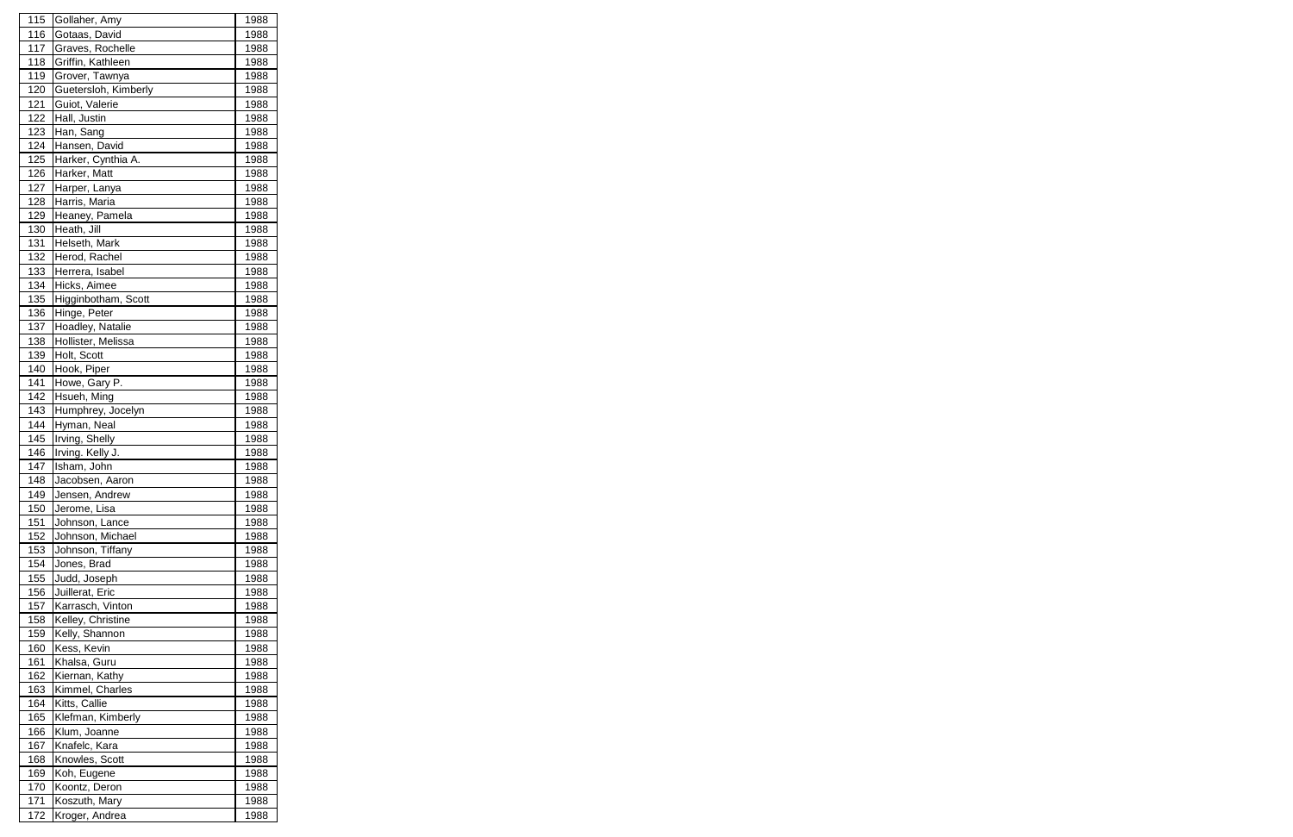| 115 | Gollaher, Amy        | 1988 |
|-----|----------------------|------|
| 116 | Gotaas, David        | 1988 |
| 117 | Graves, Rochelle     | 1988 |
| 118 | Griffin, Kathleen    | 1988 |
| 119 | Grover, Tawnya       | 1988 |
| 120 | Guetersloh, Kimberly | 1988 |
| 121 | Guiot, Valerie       | 1988 |
| 122 | Hall, Justin         | 1988 |
| 123 | Han, Sang            | 1988 |
| 124 | Hansen, David        | 1988 |
| 125 | Harker, Cynthia A.   | 1988 |
| 126 | Harker, Matt         | 1988 |
| 127 | Harper, Lanya        | 1988 |
| 128 | Harris, Maria        | 1988 |
| 129 | Heaney, Pamela       | 1988 |
| 130 | Heath, Jill          | 1988 |
| 131 | Helseth, Mark        | 1988 |
| 132 | Herod, Rachel        | 1988 |
| 133 | Herrera, Isabel      | 1988 |
| 134 | Hicks, Aimee         | 1988 |
| 135 | Higginbotham, Scott  | 1988 |
| 136 | Hinge, Peter         | 1988 |
| 137 | Hoadley, Natalie     | 1988 |
| 138 | Hollister, Melissa   | 1988 |
| 139 | Holt, Scott          | 1988 |
| 140 | Hook, Piper          | 1988 |
| 141 | Howe, Gary P.        | 1988 |
| 142 | Hsueh, Ming          | 1988 |
| 143 | Humphrey, Jocelyn    | 1988 |
| 144 | Hyman, Neal          | 1988 |
| 145 | Irving, Shelly       | 1988 |
| 146 | Irving. Kelly J.     | 1988 |
| 147 | Isham, John          | 1988 |
| 148 | Jacobsen. Aaron      | 1988 |
| 149 | Jensen, Andrew       | 1988 |
| 150 | Jerome, Lisa         | 1988 |
| 151 | Johnson, Lance       | 1988 |
| 152 | Johnson, Michael     | 1988 |
| 153 | Johnson, Tiffany     | 1988 |
| 154 | Jones, Brad          | 1988 |
| 155 | Judd, Joseph         | 1988 |
| 156 | Juillerat, Eric      | 1988 |
| 157 | Karrasch, Vinton     | 1988 |
| 158 | Kelley, Christine    | 1988 |
| 159 | Kelly, Shannon       | 1988 |
| 160 | Kess, Kevin          | 1988 |
| 161 | Khalsa, Guru         | 1988 |
| 162 | Kiernan, Kathy       | 1988 |
| 163 | Kimmel, Charles      | 1988 |
| 164 | Kitts, Callie        | 1988 |
| 165 | Klefman, Kimberly    | 1988 |
| 166 | Klum, Joanne         | 1988 |
| 167 | Knafelc, Kara        | 1988 |
| 168 | Knowles, Scott       | 1988 |
| 169 | Koh, Eugene          | 1988 |
| 170 | Koontz, Deron        | 1988 |
| 171 | Koszuth, Mary        | 1988 |
| 172 | Kroger, Andrea       | 1988 |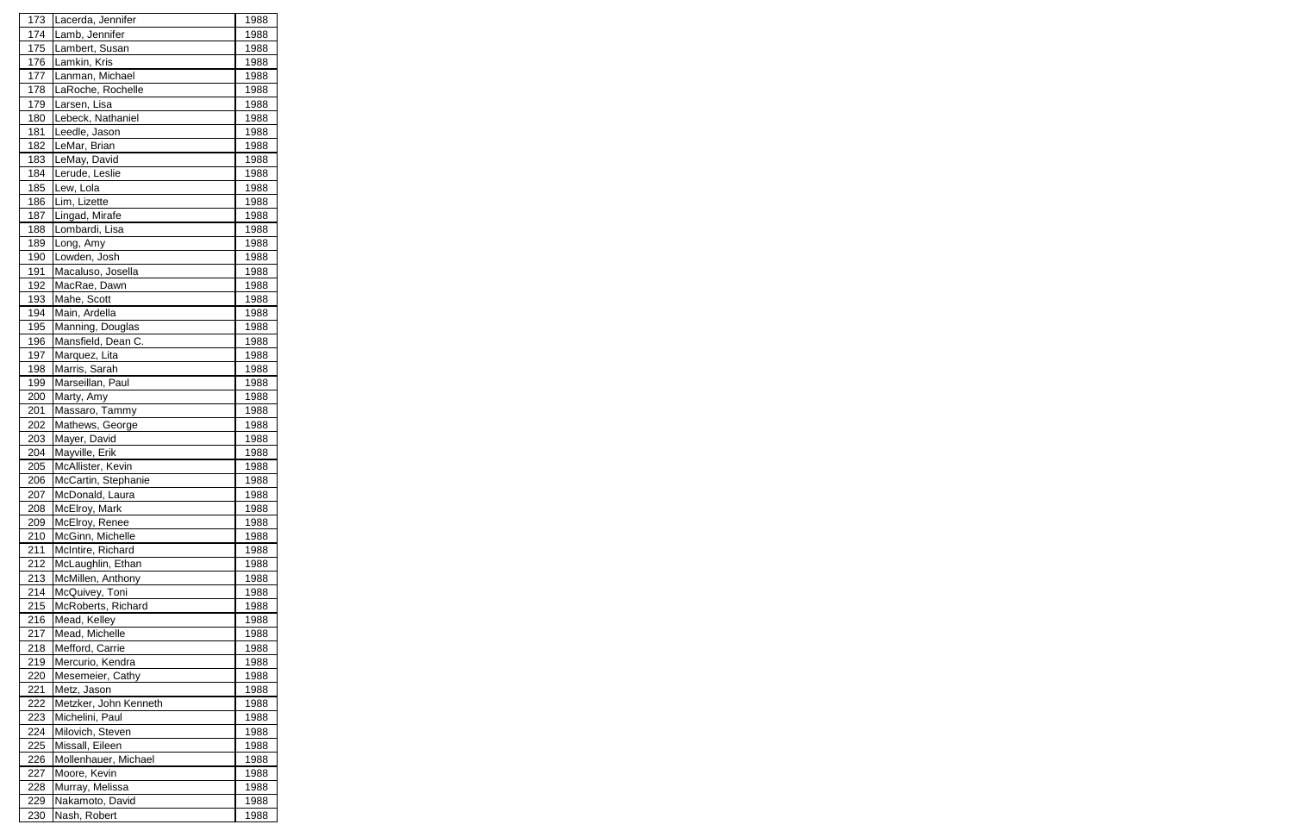| 173 | Lacerda, Jennifer     | 1988 |
|-----|-----------------------|------|
| 174 | Lamb, Jennifer        | 1988 |
| 175 | Lambert, Susan        | 1988 |
| 176 | Lamkin, Kris          | 1988 |
| 177 | Lanman, Michael       | 1988 |
| 178 | LaRoche, Rochelle     | 1988 |
| 179 | Larsen, Lisa          | 1988 |
| 180 | Lebeck, Nathaniel     | 1988 |
| 181 | Leedle, Jason         | 1988 |
| 182 | LeMar, Brian          | 1988 |
| 183 | LeMay, David          | 1988 |
| 184 | Lerude, Leslie        | 1988 |
| 185 | Lew, Lola             | 1988 |
| 186 | Lim, Lizette          | 1988 |
| 187 | Lingad, Mirafe        | 1988 |
| 188 | Lombardi, Lisa        | 1988 |
| 189 | Long, Amy             | 1988 |
| 190 | Lowden, Josh          | 1988 |
| 191 | Macaluso, Josella     | 1988 |
| 192 | MacRae, Dawn          | 1988 |
| 193 | Mahe, Scott           | 1988 |
|     | Main, Ardella         |      |
| 194 |                       | 1988 |
| 195 | Manning, Douglas      | 1988 |
| 196 | Mansfield, Dean C.    | 1988 |
| 197 | Marquez, Lita         | 1988 |
| 198 | Marris, Sarah         | 1988 |
| 199 | Marseillan, Paul      | 1988 |
| 200 | Marty, Amy            | 1988 |
| 201 | Massaro, Tammy        | 1988 |
| 202 | Mathews, George       | 1988 |
| 203 | Mayer, David          | 1988 |
| 204 | Mayville, Erik        | 1988 |
| 205 | McAllister, Kevin     | 1988 |
| 206 | McCartin, Stephanie   | 1988 |
| 207 | McDonald, Laura       | 1988 |
| 208 | McElroy, Mark         | 1988 |
| 209 | McElroy, Renee        | 1988 |
| 210 | McGinn, Michelle      | 1988 |
| 211 | McIntire, Richard     | 1988 |
| 212 | McLaughlin, Ethan     | 1988 |
| 213 | McMillen, Anthony     | 1988 |
| 214 | McQuivey, Toni        | 1988 |
| 215 | McRoberts, Richard    | 1988 |
| 216 | Mead, Kelley          | 1988 |
| 217 | Mead, Michelle        | 1988 |
| 218 | Mefford, Carrie       | 1988 |
| 219 | Mercurio, Kendra      | 1988 |
| 220 | Mesemeier, Cathy      | 1988 |
| 221 | Metz, Jason           | 1988 |
| 222 | Metzker, John Kenneth | 1988 |
| 223 | Michelini, Paul       | 1988 |
| 224 | Milovich, Steven      | 1988 |
| 225 | Missall, Eileen       | 1988 |
| 226 | Mollenhauer, Michael  | 1988 |
| 227 | Moore, Kevin          | 1988 |
| 228 | Murray, Melissa       | 1988 |
| 229 | Nakamoto, David       | 1988 |
| 230 | Nash, Robert          | 1988 |
|     |                       |      |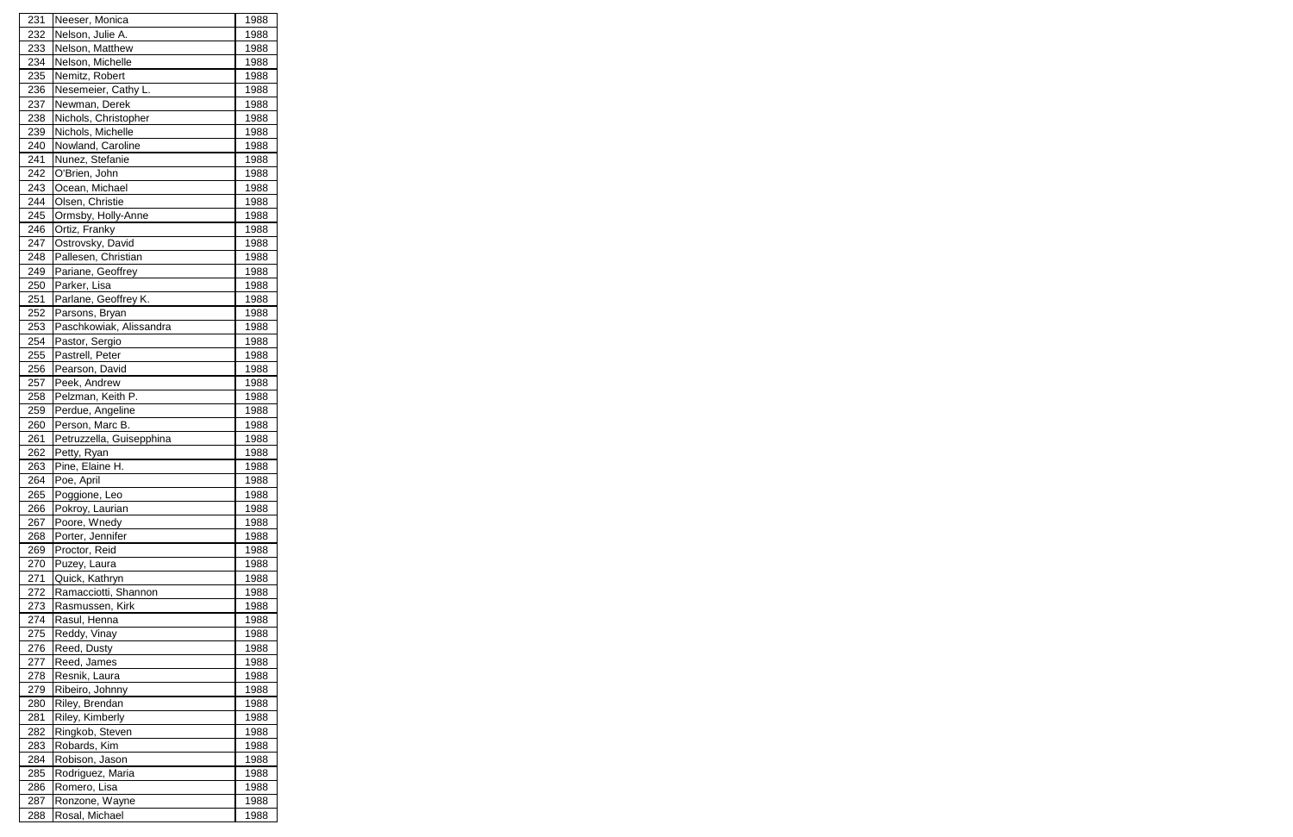| 231        | Neeser, Monica                   | 1988         |
|------------|----------------------------------|--------------|
| 232        | Nelson, Julie A.                 | 1988         |
| 233        | Nelson, Matthew                  | 1988         |
| 234        | Nelson, Michelle                 | 1988         |
| 235        | Nemitz, Robert                   | 1988         |
| 236        | Nesemeier, Cathy L.              | 1988         |
| 237        | Newman, Derek                    | 1988         |
| 238        | Nichols, Christopher             | 1988         |
| 239        | Nichols, Michelle                | 1988         |
| 240        | Nowland, Caroline                | 1988         |
| 241        | Nunez, Stefanie                  | 1988         |
| 242        | O'Brien, John                    | 1988         |
| 243        | Ocean, Michael                   | 1988         |
| 244        | Olsen, Christie                  | 1988         |
| 245        | Ormsby, Holly-Anne               | 1988         |
| 246        | Ortiz, Franky                    | 1988         |
| 247        | Ostrovsky, David                 | 1988         |
| 248        | Pallesen, Christian              | 1988         |
| 249        | Pariane, Geoffrey                | 1988         |
| 250        | Parker, Lisa                     | 1988         |
| 251        | Parlane, Geoffrey K.             | 1988         |
| 252        | Parsons, Bryan                   | 1988         |
| 253        | Paschkowiak, Alissandra          | 1988         |
| 254        | Pastor, Sergio                   | 1988         |
| 255        | Pastrell, Peter                  | 1988         |
| 256        | Pearson, David                   | 1988         |
| 257        | Peek, Andrew                     | 1988         |
| 258        | Pelzman, Keith P.                | 1988         |
| 259        | Perdue, Angeline                 | 1988         |
| 260        | Person, Marc B.                  | 1988         |
| 261        | Petruzzella, Guisepphina         | 1988         |
| 262        | Petty, Ryan                      | 1988         |
| 263        | Pine, Elaine H.                  | 1988         |
| 264        | Poe, April                       | 1988         |
| 265        | Poggione, Leo                    | 1988         |
| 266        | Pokroy, Laurian                  | 1988         |
| 267        | Poore, Wnedy                     | 1988         |
| 268        | Porter, Jennifer                 | 1988         |
| 269        | Proctor, Reid                    | 1988         |
| 270        | Puzey, Laura                     | 1988         |
|            | Quick, Kathryn                   | 1988         |
| 271        |                                  |              |
| 272        | Ramacciotti, Shannon             | 1988         |
| 273        | Rasmussen, Kirk                  | 1988         |
| 274        | Rasul, Henna                     | 1988         |
| 275        | Reddy, Vinay                     | 1988         |
| 276        | Reed, Dusty                      | 1988         |
| 277        | Reed, James                      | 1988         |
| 278        | Resnik, Laura                    | 1988         |
| 279        | Ribeiro, Johnny                  | 1988         |
| 280        | Riley, Brendan                   | 1988         |
| 281        | Riley, Kimberly                  | 1988         |
| 282        | Ringkob, Steven                  | 1988         |
| 283        | Robards, Kim                     | 1988         |
| 284        |                                  |              |
|            | Robison, Jason                   | 1988         |
| 285        | Rodriguez, Maria                 | 1988         |
| 286        | Romero, Lisa                     | 1988         |
| 287<br>288 | Ronzone, Wayne<br>Rosal, Michael | 1988<br>1988 |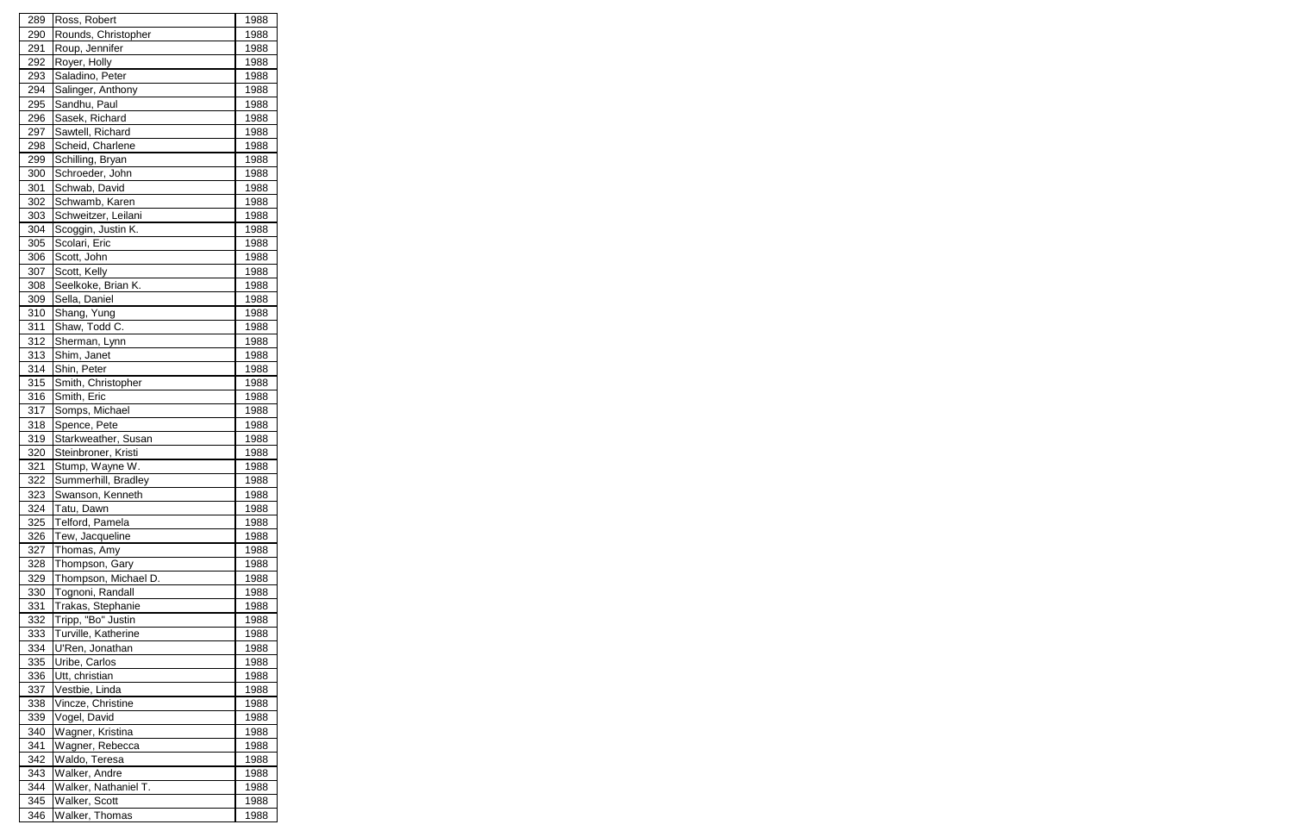| 289 | Ross, Robert         | 1988 |
|-----|----------------------|------|
| 290 | Rounds, Christopher  | 1988 |
| 291 | Roup, Jennifer       | 1988 |
| 292 | Royer, Holly         | 1988 |
| 293 | Saladino, Peter      | 1988 |
| 294 | Salinger, Anthony    | 1988 |
| 295 | Sandhu, Paul         | 1988 |
| 296 | Sasek, Richard       | 1988 |
| 297 | Sawtell, Richard     | 1988 |
| 298 | Scheid, Charlene     | 1988 |
| 299 | Schilling, Bryan     | 1988 |
| 300 | Schroeder, John      | 1988 |
| 301 | Schwab, David        | 1988 |
| 302 | Schwamb, Karen       | 1988 |
| 303 | Schweitzer, Leilani  | 1988 |
| 304 | Scoggin, Justin K.   | 1988 |
| 305 | Scolari, Eric        | 1988 |
| 306 | Scott, John          | 1988 |
| 307 | Scott, Kelly         | 1988 |
| 308 | Seelkoke, Brian K.   | 1988 |
| 309 | Sella, Daniel        | 1988 |
|     |                      |      |
| 310 | Shang, Yung          | 1988 |
| 311 | Shaw, Todd C.        | 1988 |
| 312 | Sherman, Lynn        | 1988 |
| 313 | Shim, Janet          | 1988 |
| 314 | Shin, Peter          | 1988 |
| 315 | Smith, Christopher   | 1988 |
| 316 | Smith, Eric          | 1988 |
| 317 | Somps, Michael       | 1988 |
| 318 | Spence, Pete         | 1988 |
| 319 | Starkweather, Susan  | 1988 |
| 320 | Steinbroner, Kristi  | 1988 |
| 321 | Stump, Wayne W.      | 1988 |
| 322 | Summerhill, Bradley  | 1988 |
| 323 | Swanson, Kenneth     | 1988 |
| 324 | Tatu, Dawn           | 1988 |
| 325 | Telford, Pamela      | 1988 |
| 326 | Tew, Jacqueline      | 1988 |
| 327 | Thomas, Amy          | 1988 |
| 328 | Thompson, Gary       | 1988 |
| 329 | Thompson, Michael D. | 1988 |
| 330 | Tognoni, Randall     | 1988 |
| 331 | Trakas, Stephanie    | 1988 |
| 332 | Tripp, "Bo" Justin   | 1988 |
| 333 | Turville, Katherine  | 1988 |
| 334 | U'Ren, Jonathan      | 1988 |
| 335 | Uribe, Carlos        | 1988 |
| 336 | Utt, christian       | 1988 |
| 337 | Vestbie, Linda       | 1988 |
| 338 | Vincze, Christine    | 1988 |
| 339 | Vogel, David         | 1988 |
| 340 | Wagner, Kristina     | 1988 |
| 341 | Wagner, Rebecca      | 1988 |
| 342 | Waldo, Teresa        | 1988 |
| 343 | Walker, Andre        | 1988 |
| 344 | Walker, Nathaniel T. | 1988 |
| 345 | Walker, Scott        | 1988 |
| 346 | Walker, Thomas       | 1988 |
|     |                      |      |